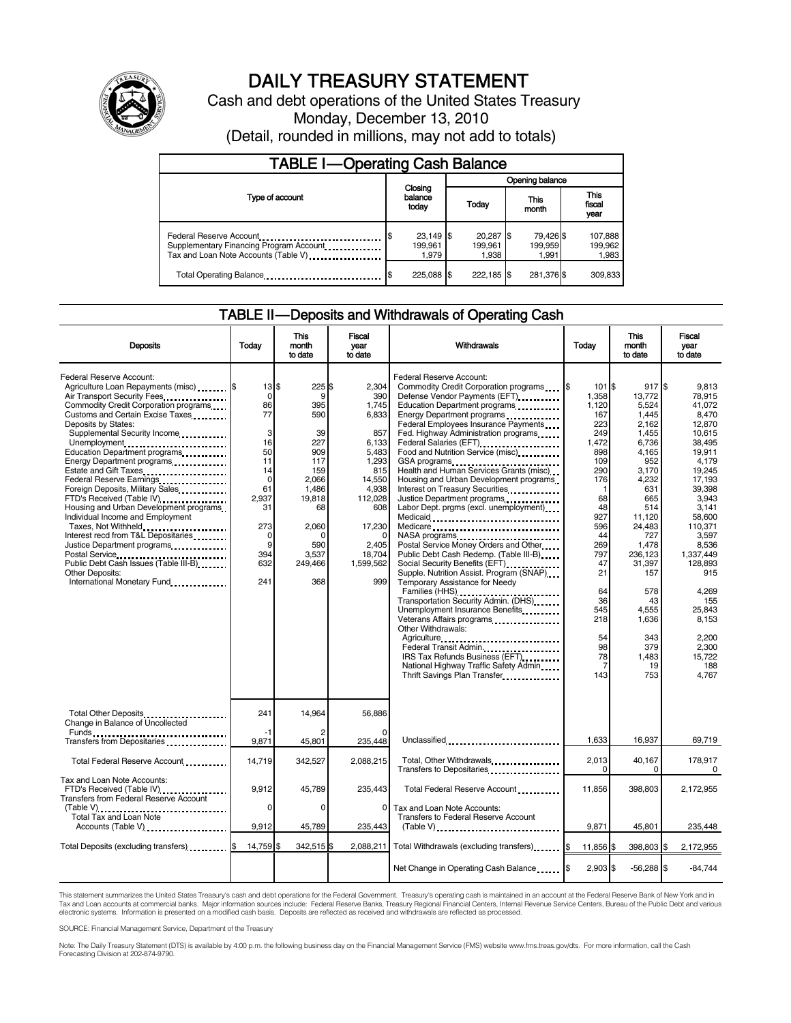

# DAILY TREASURY STATEMENT

Cash and debt operations of the United States Treasury Monday, December 13, 2010 (Detail, rounded in millions, may not add to totals)

| <b>TABLE I-Operating Cash Balance</b>                                                                      |  |                                 |                 |                               |  |                               |  |                               |  |
|------------------------------------------------------------------------------------------------------------|--|---------------------------------|-----------------|-------------------------------|--|-------------------------------|--|-------------------------------|--|
|                                                                                                            |  |                                 | Opening balance |                               |  |                               |  |                               |  |
| Type of account                                                                                            |  | Closing<br>balance<br>today     |                 | Today                         |  | This<br>month                 |  | <b>This</b><br>fiscal<br>year |  |
| Federal Reserve Account<br>Supplementary Financing Program Account<br>Tax and Loan Note Accounts (Table V) |  | $23,149$ \$<br>199.961<br>1.979 |                 | 20,287 \$<br>199.961<br>1.938 |  | 79,426 \$<br>199,959<br>1.991 |  | 107,888<br>199.962<br>1,983   |  |
| Total Operating Balance                                                                                    |  | 225.088 \$                      |                 | 222.185 \$                    |  | 281,376 \$                    |  | 309.833                       |  |

#### TABLE II — Deposits and Withdrawals of Operating Cash

| <b>Deposits</b>                                                                                                                                                                                                                                                                                                                                                                                                                                                                                                                                                                                                                                                                                                               | Today                                                                                                                       | This<br>month<br>to date                                                                                                              | Fiscal<br>vear<br>to date                                                                                                                                          | Withdrawals                                                                                                                                                                                                                                                                                                                                                                                                                                                                                                                                                                                                                                                                                                                                                                                                                                                                                                                                                                                                                                                                  | Today                                                                                                                                                                                                                                | This<br>month<br>to date                                                                                                                                                                                                                                | Fiscal<br>year<br>to date                                                                                                                                                                                                                                                                |
|-------------------------------------------------------------------------------------------------------------------------------------------------------------------------------------------------------------------------------------------------------------------------------------------------------------------------------------------------------------------------------------------------------------------------------------------------------------------------------------------------------------------------------------------------------------------------------------------------------------------------------------------------------------------------------------------------------------------------------|-----------------------------------------------------------------------------------------------------------------------------|---------------------------------------------------------------------------------------------------------------------------------------|--------------------------------------------------------------------------------------------------------------------------------------------------------------------|------------------------------------------------------------------------------------------------------------------------------------------------------------------------------------------------------------------------------------------------------------------------------------------------------------------------------------------------------------------------------------------------------------------------------------------------------------------------------------------------------------------------------------------------------------------------------------------------------------------------------------------------------------------------------------------------------------------------------------------------------------------------------------------------------------------------------------------------------------------------------------------------------------------------------------------------------------------------------------------------------------------------------------------------------------------------------|--------------------------------------------------------------------------------------------------------------------------------------------------------------------------------------------------------------------------------------|---------------------------------------------------------------------------------------------------------------------------------------------------------------------------------------------------------------------------------------------------------|------------------------------------------------------------------------------------------------------------------------------------------------------------------------------------------------------------------------------------------------------------------------------------------|
| Federal Reserve Account:<br>Agriculture Loan Repayments (misc) [35]<br>Air Transport Security Fees<br>Commodity Credit Corporation programs<br>Customs and Certain Excise Taxes<br>Deposits by States:<br>Supplemental Security Income<br>Unemployment<br>Education Department programs<br>Energy Department programs<br><br>Estate and Gift Taxes<br>Federal Reserve Earnings<br>Foreign Deposits, Military Sales<br>FTD's Received (Table IV)<br>Housing and Urban Development programs<br>Individual Income and Employment<br>Taxes, Not Withheld<br>Interest recd from T&L Depositaries<br>Justice Department programs<br>Public Debt Cash Issues (Table III-B).<br><b>Other Deposits:</b><br>International Monetary Fund | 13S<br>0<br>86<br>77<br>3<br>16<br>50<br>11<br>14<br>$\mathbf 0$<br>61<br>2,937<br>31<br>273<br>0<br>9<br>394<br>632<br>241 | 225<br>9<br>395<br>590<br>39<br>227<br>909<br>117<br>159<br>2,066<br>1.486<br>19,818<br>68<br>2.060<br>590<br>3.537<br>249,466<br>368 | 2,304<br>ደ<br>390<br>1,745<br>6,833<br>857<br>6,133<br>5.483<br>1,293<br>815<br>14,550<br>4,938<br>112,028<br>608<br>17,230<br>2,405<br>18,704<br>1,599,562<br>999 | <b>Federal Reserve Account:</b><br>Commodity Credit Corporation programs \ \ \ \ \$<br>Defense Vendor Payments (EFT)<br>Education Department programs<br>Energy Department programs<br>Federal Employees Insurance Payments<br>Fed. Highway Administration programs<br>Federal Salaries (EFT)<br>Food and Nutrition Service (misc) [100]<br>GSA programs<br>Health and Human Services Grants (misc)<br>Housing and Urban Development programs<br>Interest on Treasury Securities<br>Justice Department programs<br>Labor Dept. prgms (excl. unemployment)<br>Medicaid<br>Medicare<br>NASA programs<br>Postal Service Money Orders and Other<br>Public Debt Cash Redemp. (Table III-B)<br>Social Security Benefits (EFT)<br>Supple. Nutrition Assist. Program (SNAP)<br>Temporary Assistance for Needy<br>Families (HHS)<br>Transportation Security Admin. (DHS)<br>Unemployment Insurance Benefits<br>Other Withdrawals:<br>Agriculture<br>Federal Transit Admin.<br>IRS Tax Refunds Business (EFT)<br>National Highway Traffic Safety Admin<br>Thrift Savings Plan Transfer | $101$ $\frac{1}{3}$<br>1,358<br>1.120<br>167<br>223<br>249<br>1,472<br>898<br>109<br>290<br>176<br>-1<br>68<br>48<br>927<br>596<br>44<br>269<br>797<br>47<br>21<br>64<br>36<br>545<br>218<br>54<br>98<br>78<br>$\overline{7}$<br>143 | 917 \$<br>13,772<br>5,524<br>1,445<br>2,162<br>1,455<br>6,736<br>4,165<br>952<br>3,170<br>4,232<br>631<br>665<br>514<br>11,120<br>24,483<br>727<br>1,478<br>236,123<br>31.397<br>157<br>578<br>43<br>4.555<br>1,636<br>343<br>379<br>1,483<br>19<br>753 | 9,813<br>78.915<br>41.072<br>8,470<br>12,870<br>10,615<br>38.495<br>19.911<br>4,179<br>19,245<br>17.193<br>39.398<br>3,943<br>3,141<br>58.600<br>110.371<br>3,597<br>8,536<br>1,337,449<br>128.893<br>915<br>4,269<br>155<br>25.843<br>8,153<br>2.200<br>2.300<br>15,722<br>188<br>4.767 |
| Total Other Deposits<br>Change in Balance of Uncollected                                                                                                                                                                                                                                                                                                                                                                                                                                                                                                                                                                                                                                                                      | 241                                                                                                                         | 14,964                                                                                                                                | 56.886                                                                                                                                                             |                                                                                                                                                                                                                                                                                                                                                                                                                                                                                                                                                                                                                                                                                                                                                                                                                                                                                                                                                                                                                                                                              |                                                                                                                                                                                                                                      |                                                                                                                                                                                                                                                         |                                                                                                                                                                                                                                                                                          |
| Transfers from Depositaries <b>constructs</b>                                                                                                                                                                                                                                                                                                                                                                                                                                                                                                                                                                                                                                                                                 | -1<br>9,871                                                                                                                 | 45,801                                                                                                                                | 235,448                                                                                                                                                            | Unclassified                                                                                                                                                                                                                                                                                                                                                                                                                                                                                                                                                                                                                                                                                                                                                                                                                                                                                                                                                                                                                                                                 | 1.633                                                                                                                                                                                                                                | 16,937                                                                                                                                                                                                                                                  | 69,719                                                                                                                                                                                                                                                                                   |
| Total Federal Reserve Account                                                                                                                                                                                                                                                                                                                                                                                                                                                                                                                                                                                                                                                                                                 | 14,719                                                                                                                      | 342,527                                                                                                                               | 2,088,215                                                                                                                                                          | Total, Other Withdrawals<br>Transfers to Depositaries <b>Constant Constant of Transfers</b>                                                                                                                                                                                                                                                                                                                                                                                                                                                                                                                                                                                                                                                                                                                                                                                                                                                                                                                                                                                  | 2,013<br>$\Omega$                                                                                                                                                                                                                    | 40,167<br>0                                                                                                                                                                                                                                             | 178,917<br>0                                                                                                                                                                                                                                                                             |
| Tax and Loan Note Accounts:<br>FTD's Received (Table IV)<br>Transfers from Federal Reserve Account                                                                                                                                                                                                                                                                                                                                                                                                                                                                                                                                                                                                                            | 9,912                                                                                                                       | 45,789                                                                                                                                | 235,443                                                                                                                                                            | Total Federal Reserve Account                                                                                                                                                                                                                                                                                                                                                                                                                                                                                                                                                                                                                                                                                                                                                                                                                                                                                                                                                                                                                                                | 11,856                                                                                                                                                                                                                               | 398,803                                                                                                                                                                                                                                                 | 2,172,955                                                                                                                                                                                                                                                                                |
| (Table V)<br>Total Tax and Loan Note<br>Accounts (Table V)                                                                                                                                                                                                                                                                                                                                                                                                                                                                                                                                                                                                                                                                    | $\Omega$<br>9,912                                                                                                           | $\Omega$<br>45,789                                                                                                                    | 0<br>235,443                                                                                                                                                       | Tax and Loan Note Accounts:<br>Transfers to Federal Reserve Account                                                                                                                                                                                                                                                                                                                                                                                                                                                                                                                                                                                                                                                                                                                                                                                                                                                                                                                                                                                                          | 9,871                                                                                                                                                                                                                                | 45,801                                                                                                                                                                                                                                                  | 235,448                                                                                                                                                                                                                                                                                  |
| Total Deposits (excluding transfers) [1001]                                                                                                                                                                                                                                                                                                                                                                                                                                                                                                                                                                                                                                                                                   | 14,759 \$                                                                                                                   | 342,515 \$                                                                                                                            |                                                                                                                                                                    | 2,088,211 Total Withdrawals (excluding transfers) \$                                                                                                                                                                                                                                                                                                                                                                                                                                                                                                                                                                                                                                                                                                                                                                                                                                                                                                                                                                                                                         | 11,856 \$                                                                                                                                                                                                                            | 398,803                                                                                                                                                                                                                                                 | ß.<br>2,172,955                                                                                                                                                                                                                                                                          |
|                                                                                                                                                                                                                                                                                                                                                                                                                                                                                                                                                                                                                                                                                                                               |                                                                                                                             |                                                                                                                                       |                                                                                                                                                                    |                                                                                                                                                                                                                                                                                                                                                                                                                                                                                                                                                                                                                                                                                                                                                                                                                                                                                                                                                                                                                                                                              | $2,903$ \$                                                                                                                                                                                                                           | $-56,288$                                                                                                                                                                                                                                               | ß.<br>$-84.744$                                                                                                                                                                                                                                                                          |

This statement summarizes the United States Treasury's cash and debt operations for the Federal Government. Treasury's operating cash is maintained in an account at the Federal Reserve Bank of New York and in<br>Tax and Loan

SOURCE: Financial Management Service, Department of the Treasury

Note: The Daily Treasury Statement (DTS) is available by 4:00 p.m. the following business day on the Financial Management Service (FMS) website www.fms.treas.gov/dts. For more information, call the Cash Forecasting Division at 202-874-9790.